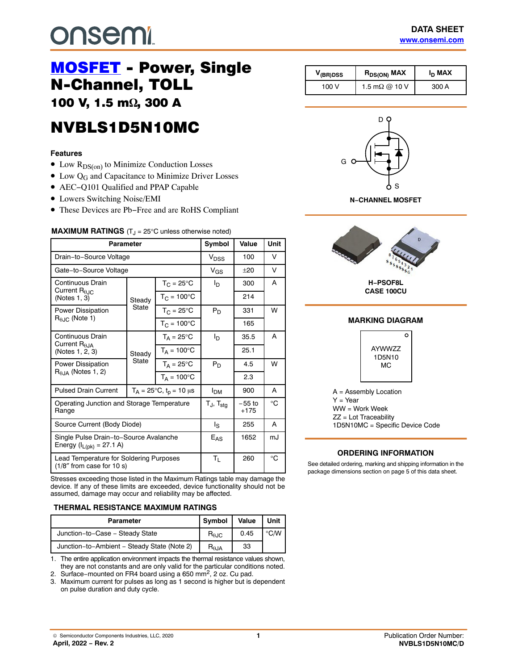# **onsemi**

# [MOSFET](https://www.onsemi.com/products/discretes-drivers/mosfets) - Power, Single<br>N-Channel, TOLL 100 V, 1.5 m $\Omega$ , 300 A

, <del>.</del> . . . . **NVBLS1D5N10MC** NVBLS1D10MC

# **Features**

- Low  $R_{DS(on)}$  to Minimize Conduction Losses
- Low Q<sub>G</sub> and Capacitance to Minimize Driver Losses
- AEC−Q101 Qualified and PPAP Capable
- Lowers Switching Noise/EMI
- These Devices are Pb−Free and are RoHS Compliant

| <b>MAXIMUM RATINGS</b> $(T_J = 25^{\circ}C$ unless otherwise noted) |  |  |  |  |  |
|---------------------------------------------------------------------|--|--|--|--|--|
|---------------------------------------------------------------------|--|--|--|--|--|

| Parameter                                                                      |        |                                        | Symbol                            | Value              | <b>Unit</b> |
|--------------------------------------------------------------------------------|--------|----------------------------------------|-----------------------------------|--------------------|-------------|
| Drain-to-Source Voltage                                                        |        |                                        | V <sub>DSS</sub>                  | 100                | v           |
| Gate-to-Source Voltage                                                         |        |                                        | $V_{GS}$                          | $+20$              | V           |
| Continuous Drain                                                               |        | $T_{C} = 25^{\circ}$ C                 | Iр                                | 300                | A           |
| Current $R_{0.1C}$<br>(Notes 1, 3)                                             | Steady | $T_C = 100^{\circ}C$                   |                                   | 214                |             |
| <b>Power Dissipation</b>                                                       | State  | $T_{C} = 25^{\circ}$ C                 | $P_D$                             | 331                | w           |
| $R_{\theta,IC}$ (Note 1)                                                       |        | $T_{C}$ = 100 $^{\circ}$ C             |                                   | 165                |             |
| <b>Continuous Drain</b>                                                        |        | $T_A = 25^{\circ}C$                    | l <sub>D</sub>                    | 35.5               | A           |
| Current $R_{\theta,IA}$<br>(Notes 1, 2, 3)                                     | Steady | $T_A = 100^{\circ}$ C                  |                                   | 25.1               |             |
| State<br>Power Dissipation                                                     |        | $T_A = 25^{\circ}C$                    | $P_D$                             | 4.5                | w           |
| $R0.1A$ (Notes 1, 2)                                                           |        | $T_A = 100^{\circ}C$                   |                                   | 2.3                |             |
| <b>Pulsed Drain Current</b>                                                    |        | $T_A = 25^{\circ}C$ , $t_p = 10 \mu s$ | <b>I<sub>DM</sub></b>             | 900                | A           |
| Operating Junction and Storage Temperature<br>Range                            |        |                                        | $T_{\text{J}}$ , $T_{\text{sta}}$ | $-55$ to<br>$+175$ | °C          |
| Source Current (Body Diode)                                                    |        |                                        | ls                                | 255                | A           |
| Single Pulse Drain-to-Source Avalanche<br>Energy (I <sub>L(pk)</sub> = 27.1 A) |        |                                        | $E_{AS}$                          | 1652               | mJ          |
| Lead Temperature for Soldering Purposes<br>$(1/8"$ from case for 10 s)         |        |                                        | Τı                                | 260                | $^{\circ}C$ |

Stresses exceeding those listed in the Maximum Ratings table may damage the device. If any of these limits are exceeded, device functionality should not be assumed, damage may occur and reliability may be affected.

#### **THERMAL RESISTANCE MAXIMUM RATINGS**

| <b>Parameter</b>                            | Symbol                                                 | Value | Unit          |
|---------------------------------------------|--------------------------------------------------------|-------|---------------|
| Junction-to-Case - Steady State             | $R_{\theta \text{JC}}$                                 | 0.45  | $^{\circ}$ CM |
| Junction-to-Ambient - Steady State (Note 2) | $\mathsf{R}_{\boldsymbol{\theta}\mathsf{J}\mathsf{A}}$ | 33    |               |

1. The entire application environment impacts the thermal resistance values shown, they are not constants and are only valid for the particular conditions noted.

2. Surface–mounted on FR4 board using a 650 mm<sup>2</sup>, 2 oz. Cu pad.

3. Maximum current for pulses as long as 1 second is higher but is dependent on pulse duration and duty cycle.

| $V_{(BR)DSS}$ | $R_{DS(ON)}$ MAX      | I <sub>D</sub> MAX |
|---------------|-----------------------|--------------------|
| 100V          | 1.5 m $\Omega$ @ 10 V | 300 A              |



**N−CHANNEL MOSFET**



**CASE 100CU**

#### **MARKING DIAGRAM**



A = Assembly Location  $Y = Year$ WW = Work Week ZZ = Lot Traceability 1D5N10MC = Specific Device Code

### **ORDERING INFORMATION**

See detailed ordering, marking and shipping information in the package dimensions section on page [5](#page-4-0) of this data sheet.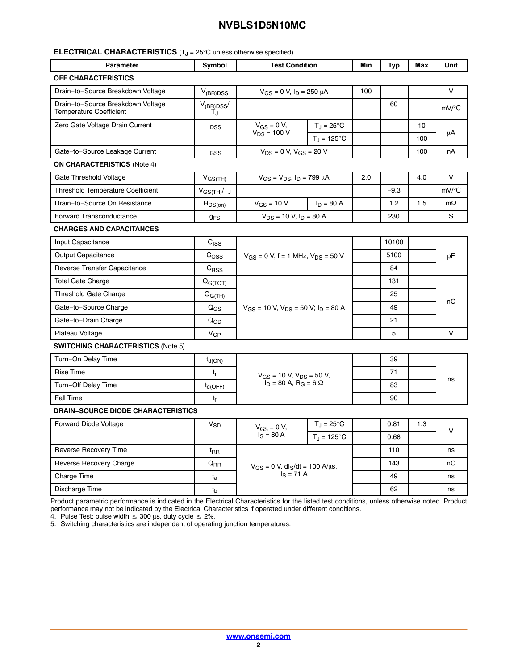#### **ELECTRICAL CHARACTERISTICS** (T<sub>J</sub> = 25°C unless otherwise specified)

| <b>Parameter</b>                                                    | Symbol                    | <b>Test Condition</b>                                                 |                           | Min | Typ    | Max | Unit                |
|---------------------------------------------------------------------|---------------------------|-----------------------------------------------------------------------|---------------------------|-----|--------|-----|---------------------|
| <b>OFF CHARACTERISTICS</b>                                          |                           |                                                                       |                           |     |        |     |                     |
| Drain-to-Source Breakdown Voltage                                   | $V_{(BR)DSS}$             | $V_{GS} = 0 V$ , $I_D = 250 \mu A$                                    |                           | 100 |        |     | V                   |
| Drain-to-Source Breakdown Voltage<br><b>Temperature Coefficient</b> | $V_{(BB)DSS}$<br>T.i      |                                                                       |                           |     | 60     |     | $mV$ /°C            |
| Zero Gate Voltage Drain Current                                     | $I_{DSS}$                 | $V_{GS} = 0 V$ ,                                                      | $T_J = 25^{\circ}C$       |     |        | 10  |                     |
|                                                                     |                           | $V_{DS}$ = 100 V                                                      | $T_J = 125$ °C            |     |        | 100 | μA                  |
| Gate-to-Source Leakage Current                                      | l <sub>GSS</sub>          | $V_{DS} = 0 V, V_{GS} = 20 V$                                         |                           |     |        | 100 | nA                  |
| <b>ON CHARACTERISTICS (Note 4)</b>                                  |                           |                                                                       |                           |     |        |     |                     |
| Gate Threshold Voltage                                              | $V_{GS(TH)}$              | $V_{GS} = V_{DS}$ , $I_D = 799 \mu A$                                 |                           | 2.0 |        | 4.0 | V                   |
| <b>Threshold Temperature Coefficient</b>                            | $V_{GS(TH)}/T_J$          |                                                                       |                           |     | $-9.3$ |     | $mV$ <sup>o</sup> C |
| Drain-to-Source On Resistance                                       | $R_{DS(on)}$              | $V_{GS}$ = 10 V                                                       | $I_D = 80 A$              |     | 1.2    | 1.5 | $m\Omega$           |
| <b>Forward Transconductance</b>                                     | $g_{FS}$                  | $V_{DS}$ = 10 V, $I_D$ = 80 A                                         |                           |     | 230    |     | S                   |
| <b>CHARGES AND CAPACITANCES</b>                                     |                           |                                                                       |                           |     |        |     |                     |
| Input Capacitance                                                   | $C_{ISS}$                 | $V_{GS}$ = 0 V, f = 1 MHz, $V_{DS}$ = 50 V                            |                           |     | 10100  |     |                     |
| <b>Output Capacitance</b>                                           | $C_{OSS}$                 |                                                                       |                           |     | 5100   |     | pF                  |
| Reverse Transfer Capacitance                                        | $C_{RSS}$                 |                                                                       |                           |     | 84     |     |                     |
| <b>Total Gate Charge</b>                                            | Q <sub>G(TOT)</sub>       | $V_{GS}$ = 10 V, $V_{DS}$ = 50 V; $I_D$ = 80 A                        |                           |     | 131    |     | пC                  |
| Threshold Gate Charge                                               | $Q_{G(TH)}$               |                                                                       |                           |     | 25     |     |                     |
| Gate-to-Source Charge                                               | $Q_{GS}$                  |                                                                       |                           |     | 49     |     |                     |
| Gate–to–Drain Charge                                                | $Q_{GD}$                  |                                                                       |                           |     | 21     |     |                     |
| Plateau Voltage                                                     | $V_{GP}$                  |                                                                       |                           |     | 5      |     | V                   |
| <b>SWITCHING CHARACTERISTICS (Note 5)</b>                           |                           |                                                                       |                           |     |        |     |                     |
| Turn-On Delay Time                                                  | $t_{d(ON)}$               | $V_{GS}$ = 10 V, $V_{DS}$ = 50 V,<br>$I_D = 80$ A, $R_G = 6$ $\Omega$ |                           |     | 39     |     |                     |
| <b>Rise Time</b>                                                    | $\mathsf{t}_{\mathsf{r}}$ |                                                                       |                           |     | 71     |     | ns                  |
| Turn-Off Delay Time                                                 | $t_{d(OFF)}$              |                                                                       |                           |     | 83     |     |                     |
| <b>Fall Time</b>                                                    | tŧ                        |                                                                       |                           |     | 90     |     |                     |
| <b>DRAIN-SOURCE DIODE CHARACTERISTICS</b>                           |                           |                                                                       |                           |     |        |     |                     |
| Forward Diode Voltage                                               | $V_{SD}$                  | $V_{GS} = 0 V$ ,<br>$I_S = 80 A$                                      | $T_{\rm J} = 25^{\circ}C$ |     | 0.81   | 1.3 | V                   |
|                                                                     |                           |                                                                       | $T_{\rm d}$ = 125°C       |     | 0.68   |     |                     |
| Reverse Recovery Time                                               | t <sub>RR</sub>           | $V_{GS} = 0 V$ , dl <sub>S</sub> /dt = 100 A/µs,<br>$I_S = 71 A$      |                           |     | 110    |     | ns                  |
| Reverse Recovery Charge                                             | $Q_{\sf RR}$              |                                                                       |                           |     | 143    |     | пC                  |
| Charge Time                                                         | $t_{\rm a}$               |                                                                       |                           |     | 49     |     | ns                  |
| Discharge Time                                                      | $t_{b}$                   |                                                                       |                           |     | 62     |     | ns                  |

Product parametric performance is indicated in the Electrical Characteristics for the listed test conditions, unless otherwise noted. Product performance may not be indicated by the Electrical Characteristics if operated under different conditions.<br>4. Pulse Test: pulse width ≤ 300 μs, duty cycle ≤ 2%.

5. Switching characteristics are independent of operating junction temperatures.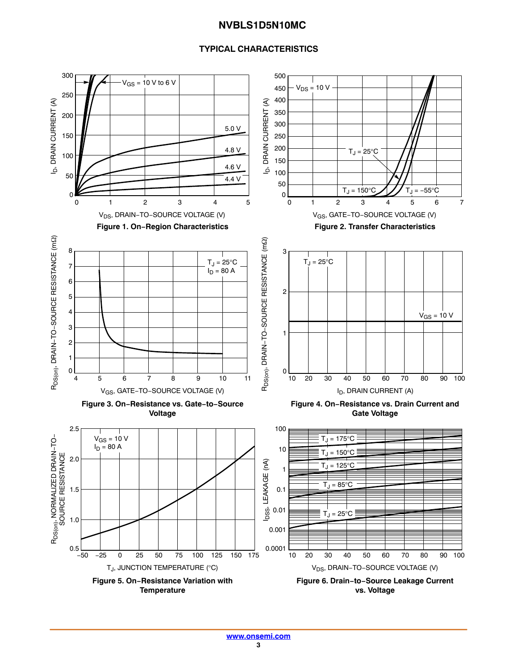## **TYPICAL CHARACTERISTICS**

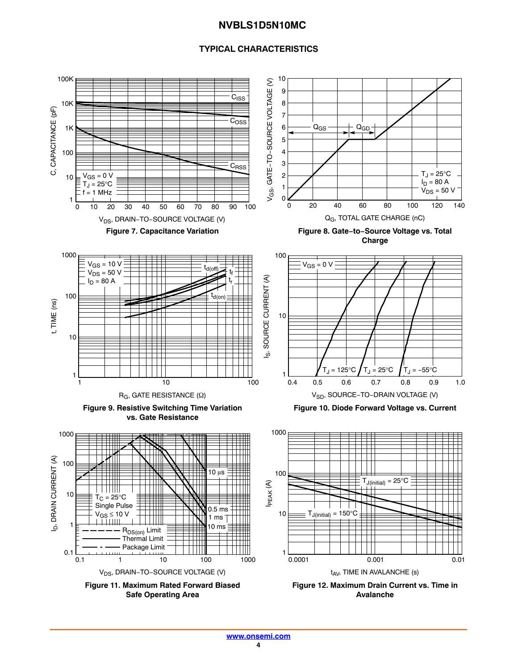## **TYPICAL CHARACTERISTICS**

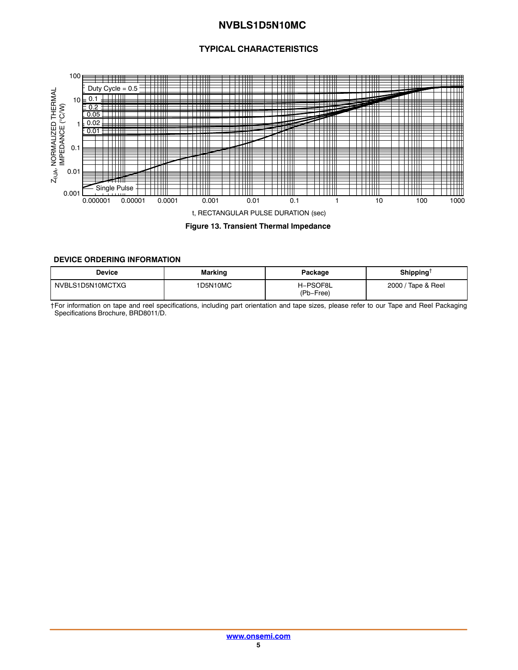# **TYPICAL CHARACTERISTICS**

<span id="page-4-0"></span>

#### **Figure 13. Transient Thermal Impedance**

#### **DEVICE ORDERING INFORMATION**

| Device           | Marking  | Package               | Shipping <sup>+</sup> |
|------------------|----------|-----------------------|-----------------------|
| NVBLS1D5N10MCTXG | 1D5N10MC | H-PSOF8L<br>(Pb-Free) | 2000 / Tape & Reel    |

†For information on tape and reel specifications, including part orientation and tape sizes, please refer to our Tape and Reel Packaging Specifications Brochure, BRD8011/D.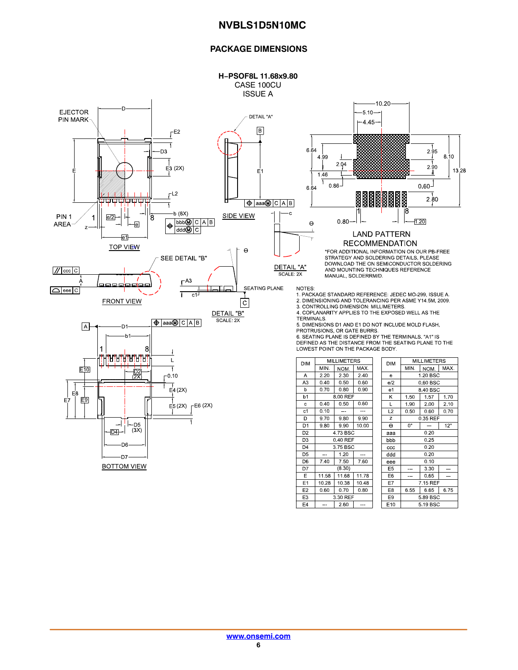#### **PACKAGE DIMENSIONS**